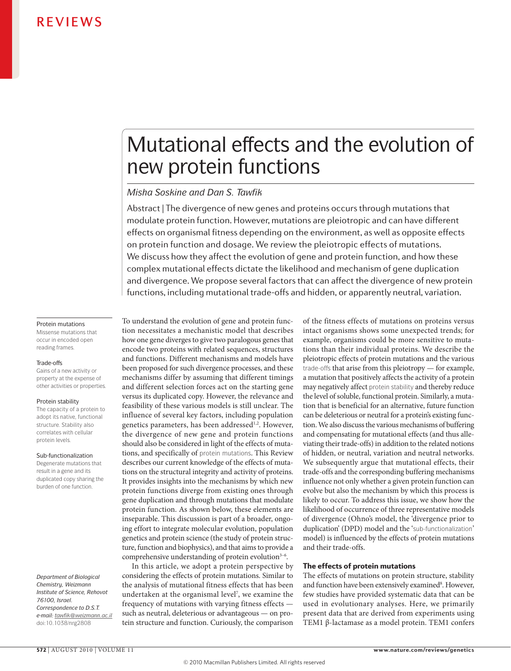# Mutational effects and the evolution of new protein functions

# *Misha Soskine and Dan S. Tawfik*

Abstract | The divergence of new genes and proteins occurs through mutations that modulate protein function. However, mutations are pleiotropic and can have different effects on organismal fitness depending on the environment, as well as opposite effects on protein function and dosage. We review the pleiotropic effects of mutations. We discuss how they affect the evolution of gene and protein function, and how these complex mutational effects dictate the likelihood and mechanism of gene duplication and divergence. We propose several factors that can affect the divergence of new protein functions, including mutational trade-offs and hidden, or apparently neutral, variation.

### Protein mutations

Missense mutations that occur in encoded open reading frames.

### Trade-offs

Gains of a new activity or property at the expense of other activities or properties.

### Protein stability

The capacity of a protein to adopt its native, functional structure. Stability also correlates with cellular protein levels.

### Sub-functionalization

Degenerate mutations that result in a gene and its duplicated copy sharing the burden of one function.

*Department of Biological Chemistry, Weizmann Institute of Science, Rehovot 76100, Israel. Correspondence to D.S.T. e‑mail: tawfik@weizmann.ac.il* doi:10.1038/nrg2808

To understand the evolution of gene and protein function necessitates a mechanistic model that describes how one gene diverges to give two paralogous genes that encode two proteins with related sequences, structures and functions. Different mechanisms and models have been proposed for such divergence processes, and these mechanisms differ by assuming that different timings and different selection forces act on the starting gene versus its duplicated copy. However, the relevance and feasibility of these various models is still unclear. The influence of several key factors, including population genetics parameters, has been addressed<sup>1,2</sup>. However, the divergence of new gene and protein functions should also be considered in light of the effects of mutations, and specifically of protein mutations. This Review describes our current knowledge of the effects of mutations on the structural integrity and activity of proteins. It provides insights into the mechanisms by which new protein functions diverge from existing ones through gene duplication and through mutations that modulate protein function. As shown below, these elements are inseparable. This discussion is part of a broader, ongoing effort to integrate molecular evolution, population genetics and protein science (the study of protein structure, function and biophysics), and that aims to provide a comprehensive understanding of protein evolution $3-6$ .

In this article, we adopt a protein perspective by considering the effects of protein mutations. Similar to the analysis of mutational fitness effects that has been undertaken at the organismal level7 , we examine the frequency of mutations with varying fitness effects such as neutral, deleterious or advantageous — on protein structure and function. Curiously, the comparison of the fitness effects of mutations on proteins versus intact organisms shows some unexpected trends; for example, organisms could be more sensitive to mutations than their individual proteins. We describe the pleiotropic effects of protein mutations and the various trade-offs that arise from this pleiotropy — for example, a mutation that positively affects the activity of a protein may negatively affect protein stability and thereby reduce the level of soluble, functional protein. Similarly, a mutation that is beneficial for an alternative, future function can be deleterious or neutral for a protein's existing function. We also discuss the various mechanisms of buffering and compensating for mutational effects (and thus alleviating their trade-offs) in addition to the related notions of hidden, or neutral, variation and neutral networks. We subsequently argue that mutational effects, their trade-offs and the corresponding buffering mechanisms influence not only whether a given protein function can evolve but also the mechanism by which this process is likely to occur. To address this issue, we show how the likelihood of occurrence of three representative models of divergence (Ohno's model, the 'divergence prior to duplication' (DPD) model and the 'sub-functionalization' model) is influenced by the effects of protein mutations and their trade-offs.

# The effects of protein mutations

The effects of mutations on protein structure, stability and function have been extensively examined<sup>8</sup>. However, few studies have provided systematic data that can be used in evolutionary analyses. Here, we primarily present data that are derived from experiments using TEM1 β-lactamase as a model protein. TEM1 confers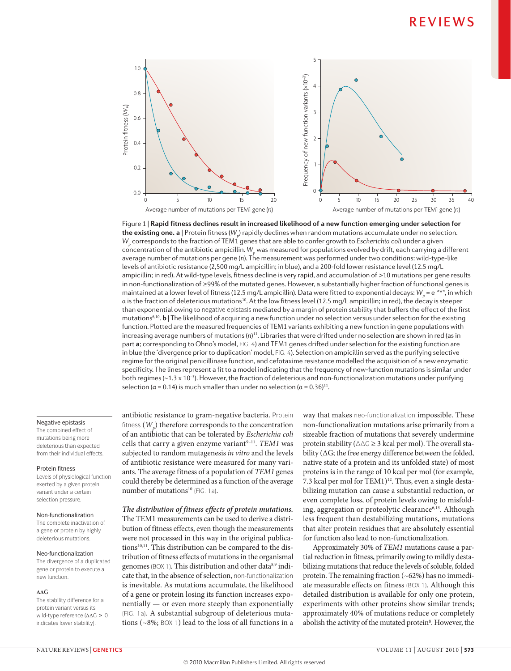

**the existing one. a** | Protein fitness (W<sub>p</sub>) rapidly declines when random mutations accumulate under no selection. Figure 1 | **Rapid fitness declines result in increased likelihood of a new function emerging under selection for**  *Wp* corresponds to the fraction of TEM1 genes that are able to confer growth to *Escherichia coli* under a given concentration of the antibiotic ampicillin. W<sub>p</sub> was measured for populations evolved by drift, each carrying a different average number of mutations per gene (*n*). The measurement was performed under two conditions: wild-type-like levels of antibiotic resistance (2,500 mg/L ampicillin; in blue), and a 200-fold lower resistance level (12.5 mg/L ampicillin; in red). At wild-type levels, fitness decline is very rapid, and accumulation of >10 mutations per gene results in non-functionalization of ≥99% of the mutated genes. However, a substantially higher fraction of functional genes is maintained at a lower level of fitness (12.5 mg/L ampicillin). Data were fitted to exponential decays: W<sub>p</sub> = e<sup>-a\*n</sup>, in which α is the fraction of deleterious mutations10. At the low fitness level (12.5 mg/L ampicillin; in red), the decay is steeper than exponential owing to negative epistasis mediated by a margin of protein stability that buffers the effect of the first mutations<sup>6,10</sup>. **b** | The likelihood of acquiring a new function under no selection versus under selection for the existing function. Plotted are the measured frequencies of TEM1 variants exhibiting a new function in gene populations with increasing average numbers of mutations (n)<sup>11</sup>. Libraries that were drifted under no selection are shown in red (as in part **a**; corresponding to Ohno's model, FIG. 4) and TEM1 genes drifted under selection for the existing function are in blue (the 'divergence prior to duplication' model, FIG. 4). Selection on ampicillin served as the purifying selective regime for the original penicillinase function, and cefotaxime resistance modelled the acquisition of a new enzymatic specificity. The lines represent a fit to a model indicating that the frequency of new-function mutations is similar under both regimes ( $\sim$ 1.3 x 10<sup>-3</sup>). However, the fraction of deleterious and non-functionalization mutations under purifying selection ( $\alpha$  = 0.14) is much smaller than under no selection ( $\alpha$  = 0.36)<sup>11</sup>.

### Negative epistasis

The combined effect of mutations being more deleterious than expected from their individual effects.

### Protein fitness

Levels of physiological function exerted by a given protein variant under a certain selection pressure

#### Non-functionalization

The complete inactivation of a gene or protein by highly deleterious mutations.

### Neo-functionalization

The divergence of a duplicated gene or protein to execute a new function.

# **ΔΔ**G

The stability difference for a protein variant versus its wild-type reference (ΔΔG > 0 indicates lower stability).

antibiotic resistance to gram-negative bacteria. Protein fitness (*Wp* ) therefore corresponds to the concentration of an antibiotic that can be tolerated by *Escherichia coli* cells that carry a given enzyme variant<sup>9-11</sup>. *TEM1* was subjected to random mutagenesis *in vitro* and the levels of antibiotic resistance were measured for many variants. The average fitness of a population of *TEM1* genes could thereby be determined as a function of the average number of mutations<sup>10</sup> (FIG. 1a).

*The distribution of fitness effects of protein mutations.* The TEM1 measurements can be used to derive a distribution of fitness effects, even though the measurements were not processed in this way in the original publications<sup>10,11</sup>. This distribution can be compared to the distribution of fitness effects of mutations in the organismal genomes (BOX 1). This distribution and other data<sup>8,9</sup> indicate that, in the absence of selection, non-functionalization is inevitable. As mutations accumulate, the likelihood of a gene or protein losing its function increases exponentially — or even more steeply than exponentially (FIG. 1a). A substantial subgroup of deleterious mutations (~8%; BOX 1) lead to the loss of all functions in a

way that makes neo-functionalization impossible. These non-functionalization mutations arise primarily from a sizeable fraction of mutations that severely undermine protein stability (ΔΔG ≥ 3 kcal per mol). The overall stability (Δg; the free energy difference between the folded, native state of a protein and its unfolded state) of most proteins is in the range of 10 kcal per mol (for example*,*  7.3 kcal per mol for TEM1)<sup>12</sup>. Thus, even a single destabilizing mutation can cause a substantial reduction, or even complete loss, of protein levels owing to misfolding, aggregation or proteolytic clearance<sup>6,13</sup>. Although less frequent than destabilizing mutations, mutations that alter protein residues that are absolutely essential for function also lead to non-functionalization.

Approximately 30% of *TEM1* mutations cause a partial reduction in fitness, primarily owing to mildly destabilizing mutations that reduce the levels of soluble, folded protein. The remaining fraction (~62%) has no immediate measurable effects on fitness (BOX 1). Although this detailed distribution is available for only one protein, experiments with other proteins show similar trends; approximately 40% of mutations reduce or completely abolish the activity of the mutated protein<sup>8</sup>. However, the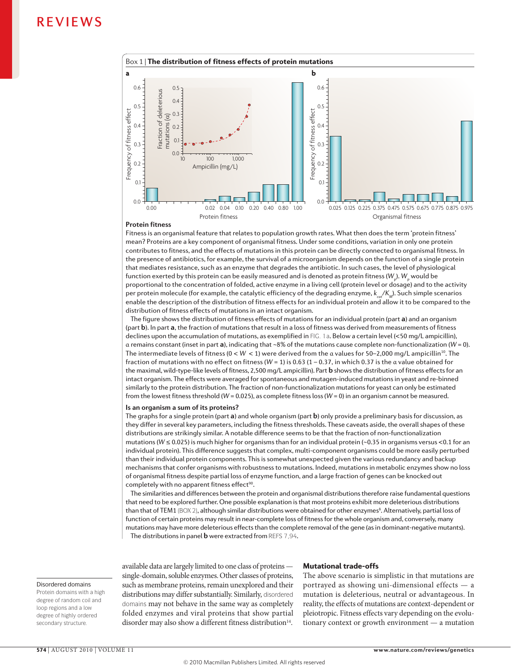

### **Protein fitness**

mean? Proteins are a key component of organismal fitness. Under some conditions, variation in only one protein Fitness is an organismal feature that relates to population growth rates. What then does the term 'protein fitness' contributes to fitness, and the effects of mutations in this protein can be directly connected to organismal fitness. In the presence of antibiotics, for example, the survival of a microorganism depends on the function of a single protein that mediates resistance, such as an enzyme that degrades the antibiotic. In such cases, the level of physiological function exerted by this protein can be easily measured and is denoted as protein fitness ( $W_p$ ).  $W_p$  would be proportional to the concentration of folded, active enzyme in a living cell (protein level or dosage) and to the activity per protein molecule (for example, the catalytic efficiency of the degrading enzyme, *k<sub>ca</sub>*K, and simple scenarios enable the description of the distribution of fitness effects for an individual protein and allow it to be compared to the distribution of fitness effects of mutations in an intact organism.

The figure shows the distribution of fitness effects of mutations for an individual protein (part **a**) and an organism (part **b**). In part **a**, the fraction of mutations that result in a loss of fitness was derived from measurements of fitness declines upon the accumulation of mutations, as exemplified in FIG. 1a. Below a certain level (<50 mg/L ampicillin), α remains constant (insetin part **a**), indicating that ~8% of the mutations cause complete non-functionalization (*W* = 0). The intermediate levels of fitness (0 < *W* < 1) were derived from the α values for 50–2,000 mg/L ampicillin10. The fraction of mutations with no effect on fitness (*W* = 1) is 0.63 (1 – 0.37, in which 0.37 is the α value obtained for the maximal, wild-type-like levels of fitness, 2,500 mg/L ampicillin). Part **b** shows the distribution of fitness effects for an intact organism. The effects were averaged for spontaneous and mutagen-induced mutations in yeast and re-binned similarly to the protein distribution. The fraction of non-functionalization mutations for yeast can only be estimated from the lowest fitness threshold (*W* = 0.025), as complete fitness loss (*W* = 0) in an organism cannot be measured.

# **is an organism a sum of its proteins?**

The graphs for a single protein (part **a**) and whole organism (part **b**) only provide a preliminary basis for discussion, as they differ in several key parameters, including the fitness thresholds. These caveats aside, the overall shapes of these distributions are strikingly similar. A notable difference seems to be that the fraction of non-functionalization mutations (*W* ≤ 0.025) is much higher for organisms than for an individual protein (~0.35 in organisms versus <0.1 for an individual protein). This difference suggests that complex, multi-component organisms could be more easily perturbed than their individual protein components. This is somewhat unexpected given the various redundancy and backup mechanisms that confer organisms with robustness to mutations. Indeed, mutations in metabolic enzymes show no loss of organismal fitness despite partial loss of enzyme function, and a large fraction of genes can be knocked out completely with no apparent fitness effect<sup>90</sup>.

The similarities and differences between the protein and organismal distributions therefore raise fundamental questions that need to be explored further. One possible explanation is that most proteins exhibit more deleterious distributions than that of TEM1 (BOX 2), although similar distributions were obtained for other enzymes<sup>8</sup>. Alternatively, partial loss of function of certain proteins may result in near-complete loss of fitness for the whole organism and, conversely, many mutations may have more deleterious effects than the complete removal of the gene (as in dominant-negative mutants). The distributions in panel **b** were extracted from ReFS 7,94.

### Disordered domains

Protein domains with a high degree of random coil and loop regions and a low degree of highly ordered secondary structure.

available data are largely limited to one class of proteins single-domain, soluble enzymes. Other classes of proteins, such as membrane proteins, remain unexplored and their distributions may differ substantially. Similarly, disordered domains may not behave in the same way as completely folded enzymes and viral proteins that show partial disorder may also show a different fitness distribution<sup>14</sup>.

### Mutational trade-offs

The above scenario is simplistic in that mutations are portrayed as showing uni-dimensional effects — a mutation is deleterious, neutral or advantageous. In reality, the effects of mutations are context-dependent or pleiotropic. Fitness effects vary depending on the evolutionary context or growth environment — a mutation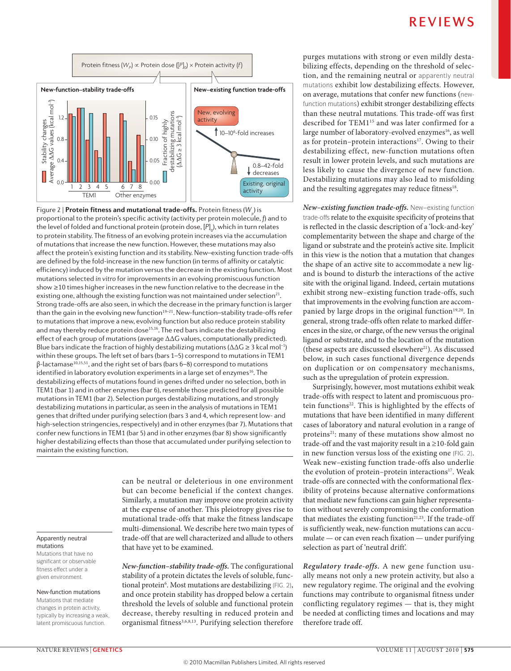

proportional to the protein's specific activity (activity per protein molecule, *f*) and to Figure 2 | **Protein fitness and mutational trade-offs.** Protein fitness (*Wp* ) is the level of folded and functional protein (protein dose, [*P*] 0 ), which in turn relates to protein stability. The fitness of an evolving protein increases via the accumulation of mutations that increase the new function. However, these mutations may also affect the protein's existing function and its stability. New–existing function trade-offs are defined by the fold-increase in the new function (in terms of affinity or catalytic efficiency) induced by the mutation versus the decrease in the existing function. Most mutations selected *in vitro* for improvements in an evolving promiscuous function show ≥10 times higher increases in the new function relative to the decrease in the existing one, although the existing function was not maintained under selection $21$ . Strong trade-offs are also seen, in which the decrease in the primary function is larger than the gain in the evolving new function $19-21$ . New-function-stability trade-offs refer to mutations that improve a new, evolving function but also reduce protein stability and may thereby reduce protein dose<sup>15,16</sup>. The red bars indicate the destabilizing effect of each group of mutations (average ΔΔG values, computationally predicted). Blue bars indicate the fraction of highly destabilizing mutations ( $\Delta\Delta G \geq 3$  kcal mol<sup>-1</sup>) within these groups. The left set of bars (bars 1–5) correspond to mutations in TEM1  $β$ -lactamase<sup>10,15,51</sup>, and the right set of bars (bars 6–8) correspond to mutations identified in laboratory evolution experiments in a large set of enzymes<sup>16</sup>. The destabilizing effects of mutations found in genes drifted under no selection, both in TEM1 (bar 1) and in other enzymes (bar 6), resemble those predicted for all possible mutations in TEM1 (bar 2). Selection purges destabilizing mutations, and strongly destabilizing mutations in particular, as seen in the analysis of mutations in TEM1 genes that drifted under purifying selection (bars 3 and 4, which represent low- and high-selection stringencies, respectively) and in other enzymes (bar 7). Mutations that confer new functions in TEM1 (bar 5) and in other enzymes (bar 8) show significantly higher destabilizing effects than those that accumulated under purifying selection to maintain the existing function.

# Apparently neutral mutations

Mutations that have no significant or observable fitness effect under a given environment.

# New-function mutations

Mutations that mediate changes in protein activity, typically by increasing a weak, latent promiscuous function.

can be neutral or deleterious in one environment but can become beneficial if the context changes. Similarly, a mutation may improve one protein activity at the expense of another. This pleiotropy gives rise to mutational trade-offs that make the fitness landscape multi-dimensional. We describe here two main types of trade-off that are well characterized and allude to others that have yet to be examined.

*New-function–stability trade-offs.* The configurational stability of a protein dictates the levels of soluble, functional protein<sup>6</sup>. Most mutations are destabilizing (FIG. 2), and once protein stability has dropped below a certain threshold the levels of soluble and functional protein decrease, thereby resulting in reduced protein and organismal fitness<sup>3,6,8,13</sup>. Purifying selection therefore purges mutations with strong or even mildly destabilizing effects, depending on the threshold of selection, and the remaining neutral or apparently neutral mutations exhibit low destabilizing effects. However, on average, mutations that confer new functions (newfunction mutations) exhibit stronger destabilizing effects than these neutral mutations. This trade-off was first described for TEM1<sup>15</sup> and was later confirmed for a large number of laboratory-evolved enzymes<sup>16</sup>, as well as for protein-protein interactions<sup>17</sup>. Owing to their destabilizing effect, new-function mutations often result in lower protein levels, and such mutations are less likely to cause the divergence of new function. Destabilizing mutations may also lead to misfolding and the resulting aggregates may reduce fitness<sup>18</sup>.

*New–existing function trade-offs.* New–existing function trade-offs relate to the exquisite specificity of proteins that is reflected in the classic description of a 'lock-and-key' complementarity between the shape and charge of the ligand or substrate and the protein's active site. Implicit in this view is the notion that a mutation that changes the shape of an active site to accommodate a new ligand is bound to disturb the interactions of the active site with the original ligand. Indeed, certain mutations exhibit strong new–existing function trade-offs, such that improvements in the evolving function are accompanied by large drops in the original function<sup>19,20</sup>. In general, strong trade-offs often relate to marked differences in the size, or charge, of the new versus the original ligand or substrate, and to the location of the mutation (these aspects are discussed elsewhere<sup>21</sup>). As discussed below, in such cases functional divergence depends on duplication or on compensatory mechanisms, such as the upregulation of protein expression.

Surprisingly, however, most mutations exhibit weak trade-offs with respect to latent and promiscuous protein functions<sup>22</sup>. This is highlighted by the effects of mutations that have been identified in many different cases of laboratory and natural evolution in a range of proteins<sup>21</sup>: many of these mutations show almost no trade-off and the vast majority result in a ≥10-fold gain in new function versus loss of the existing one (FIG. 2). Weak new–existing function trade-offs also underlie the evolution of protein–protein interactions<sup>17</sup>. Weak trade-offs are connected with the conformational flexibility of proteins because alternative conformations that mediate new functions can gain higher representation without severely compromising the conformation that mediates the existing function<sup>21,23</sup>. If the trade-off is sufficiently weak, new-function mutations can accumulate — or can even reach fixation — under purifying selection as part of 'neutral drift'.

*Regulatory trade-offs.* A new gene function usually means not only a new protein activity, but also a new regulatory regime. The original and the evolving functions may contribute to organismal fitness under conflicting regulatory regimes — that is, they might be needed at conflicting times and locations and may therefore trade off.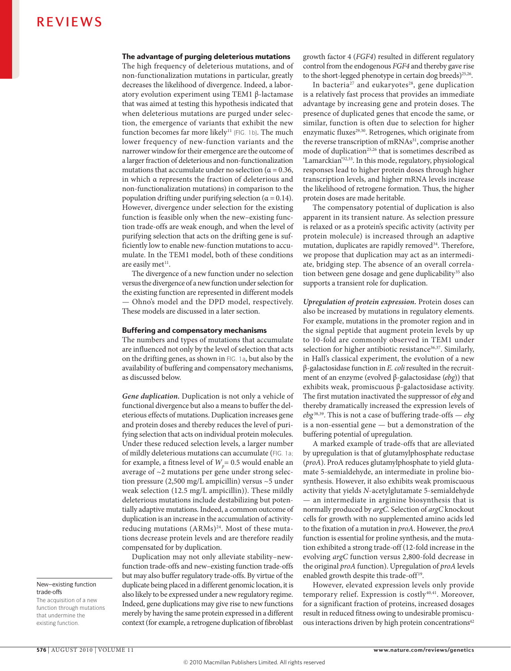# The advantage of purging deleterious mutations

The high frequency of deleterious mutations, and of non-functionalization mutations in particular, greatly decreases the likelihood of divergence. Indeed, a laboratory evolution experiment using TEM1 β-lactamase that was aimed at testing this hypothesis indicated that when deleterious mutations are purged under selection, the emergence of variants that exhibit the new function becomes far more likely<sup>11</sup> (FIG. 1b). The much lower frequency of new-function variants and the narrower window for their emergence are the outcome of a larger fraction of deleterious and non-functionalization mutations that accumulate under no selection ( $\alpha$  = 0.36, in which α represents the fraction of deleterious and non-functionalization mutations) in comparison to the population drifting under purifying selection ( $\alpha$  = 0.14). However, divergence under selection for the existing function is feasible only when the new–existing function trade-offs are weak enough, and when the level of purifying selection that acts on the drifting gene is sufficiently low to enable new-function mutations to accumulate. In the TEM1 model, both of these conditions are easily met $11$ .

The divergence of a new function under no selection versus the divergence of a new function under selection for the existing function are represented in different models — Ohno's model and the DPD model, respectively. These models are discussed in a later section.

### Buffering and compensatory mechanisms

The numbers and types of mutations that accumulate are influenced not only by the level of selection that acts on the drifting genes, as shown in FIG. 1a, but also by the availability of buffering and compensatory mechanisms, as discussed below.

*Gene duplication.* Duplication is not only a vehicle of functional divergence but also a means to buffer the deleterious effects of mutations. Duplication increases gene and protein doses and thereby reduces the level of purifying selection that acts on individual protein molecules. Under these reduced selection levels, a larger number of mildly deleterious mutations can accumulate (FIG. 1a; for example, a fitness level of  $W_p$  = 0.5 would enable an average of  $\sim$ 2 mutations per gene under strong selection pressure (2,500 mg/L ampicillin) versus ~5 under weak selection (12.5 mg/L ampicillin)). These mildly deleterious mutations include destabilizing but potentially adaptive mutations. Indeed, a common outcome of duplication is an increase in the accumulation of activityreducing mutations (ARMs)<sup>24</sup>. Most of these mutations decrease protein levels and are therefore readily compensated for by duplication.

Duplication may not only alleviate stability–newfunction trade-offs and new–existing function trade-offs but may also buffer regulatory trade-offs. By virtue of the duplicate being placed in a different genomic location, it is also likely to be expressed under a new regulatory regime. Indeed, gene duplications may give rise to new functions merely by having the same protein expressed in a different context (for example, a retrogene duplication of fibroblast

growth factor 4 (*FGF4*) resulted in different regulatory control from the endogenous *FGF4* and thereby gave rise to the short-legged phenotype in certain dog breeds)<sup>25,26</sup>.

In bacteria<sup>27</sup> and eukaryotes<sup>28</sup>, gene duplication is a relatively fast process that provides an immediate advantage by increasing gene and protein doses. The presence of duplicated genes that encode the same, or similar, function is often due to selection for higher enzymatic fluxes<sup>29,30</sup>. Retrogenes, which originate from the reverse transcription of mRNAs<sup>31</sup>, comprise another mode of duplication<sup>25,26</sup> that is sometimes described as 'lamarckian'32,33. In this mode, regulatory, physiological responses lead to higher protein doses through higher transcription levels, and higher mRNA levels increase the likelihood of retrogene formation. Thus, the higher protein doses are made heritable.

The compensatory potential of duplication is also apparent in its transient nature. As selection pressure is relaxed or as a protein's specific activity (activity per protein molecule) is increased through an adaptive mutation, duplicates are rapidly removed<sup>34</sup>. Therefore, we propose that duplication may act as an intermediate, bridging step. The absence of an overall correlation between gene dosage and gene duplicability<sup>35</sup> also supports a transient role for duplication.

*Upregulation of protein expression.* Protein doses can also be increased by mutations in regulatory elements. For example, mutations in the promoter region and in the signal peptide that augment protein levels by up to 10-fold are commonly observed in TEM1 under selection for higher antibiotic resistance<sup>36,37</sup>. Similarly, in Hall's classical experiment, the evolution of a new β-galactosidase function in *E. coli* resulted in the recruitment of an enzyme (evolved β-galactosidase (*ebg*)) that exhibits weak, promiscuous β-galactosidase activity. The first mutation inactivated the suppressor of *ebg* and thereby dramatically increased the expression levels of *ebg* 38,39. This is not a case of buffering trade-offs — *ebg* is a non-essential gene — but a demonstration of the buffering potential of upregulation.

A marked example of trade-offs that are alleviated by upregulation is that of glutamylphosphate reductase (*proA*). ProA reduces glutamylphosphate to yield glutamate 5-semialdehyde, an intermediate in proline biosynthesis. However, it also exhibits weak promiscuous activity that yields *N*-acetylglutamate 5-semialdehyde — an intermediate in arginine biosynthesis that is normally produced by *argC*. Selection of *argC* knockout cells for growth with no supplemented amino acids led to the fixation of a mutation in *proA*. However, the *proA* function is essential for proline synthesis, and the mutation exhibited a strong trade-off (12-fold increase in the evolving *argC* function versus 2,800-fold decrease in the original *proA* function). upregulation of *proA* levels enabled growth despite this trade-off<sup>19</sup>.

However, elevated expression levels only provide temporary relief. Expression is costly<sup>40,41</sup>. Moreover, for a significant fraction of proteins, increased dosages result in reduced fitness owing to undesirable promiscuous interactions driven by high protein concentrations<sup>42</sup>

### New–existing function trade-offs

The acquisition of a new function through mutations that undermine the existing function.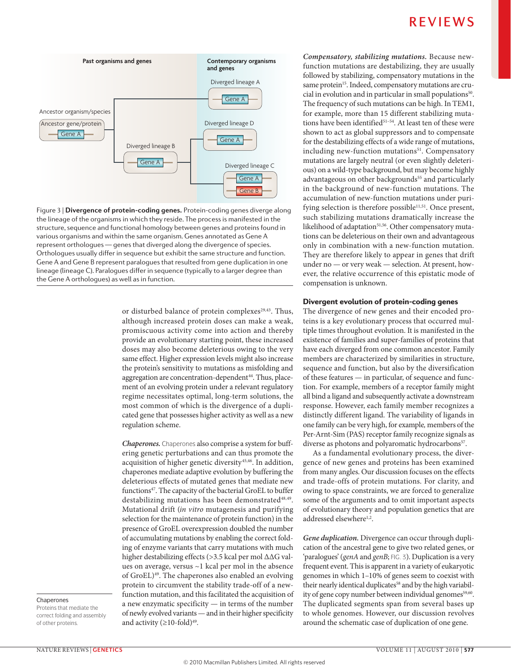

structure, sequence and functional homology between genes and proteins found in Figure 3 | **Divergence of protein-coding genes.** Protein-coding genes diverge along the lineage of the organisms in which they reside. The process is manifested in the various organisms and within the same organism. Genes annotated as Gene A represent orthologues — genes that diverged along the divergence of species. Orthologues usually differ in sequence but exhibit the same structure and function. Gene A and Gene B represent paralogues that resulted from gene duplication in one lineage (lineage C). Paralogues differ in sequence (typically to a larger degree than the Gene A orthologues) as well as in function.

or disturbed balance of protein complexes<sup>29,43</sup>. Thus, although increased protein doses can make a weak, promiscuous activity come into action and thereby provide an evolutionary starting point, these increased doses may also become deleterious owing to the very same effect. Higher expression levels might also increase the protein's sensitivity to mutations as misfolding and aggregation are concentration-dependent<sup>44</sup>. Thus, placement of an evolving protein under a relevant regulatory regime necessitates optimal, long-term solutions, the most common of which is the divergence of a duplicated gene that possesses higher activity as well as a new regulation scheme.

*Chaperones.* Chaperones also comprise a system for buffering genetic perturbations and can thus promote the acquisition of higher genetic diversity<sup>45,46</sup>. In addition, chaperones mediate adaptive evolution by buffering the deleterious effects of mutated genes that mediate new functions<sup>47</sup>. The capacity of the bacterial GroEL to buffer destabilizing mutations has been demonstrated<sup>48,49</sup>. Mutational drift (*in vitro* mutagenesis and purifying selection for the maintenance of protein function) in the presence of GroEL overexpression doubled the number of accumulating mutations by enabling the correct folding of enzyme variants that carry mutations with much higher destabilizing effects (>3.5 kcal per mol ΔΔg values on average, versus ~1 kcal per mol in the absence of GroEL)<sup>49</sup>. The chaperones also enabled an evolving protein to circumvent the stability trade-off of a newfunction mutation, and this facilitated the acquisition of a new enzymatic specificity — in terms of the number of newly evolved variants — and in their higher specificity and activity  $(\geq 10\text{-fold})^{49}$ .

Chaperones Proteins that mediate the

correct folding and assembly of other proteins.

*Compensatory, stabilizing mutations.* Because newfunction mutations are destabilizing, they are usually followed by stabilizing, compensatory mutations in the same protein<sup>15</sup>. Indeed, compensatory mutations are crucial in evolution and in particular in small populations<sup>50</sup>. The frequency of such mutations can be high. In TEM1, for example, more than 15 different stabilizing mutations have been identified<sup>51-54</sup>. At least ten of these were shown to act as global suppressors and to compensate for the destabilizing effects of a wide range of mutations, including new-function mutations<sup>51</sup>. Compensatory mutations are largely neutral (or even slightly deleterious) on a wild-type background, but may become highly advantageous on other backgrounds<sup>55</sup> and particularly in the background of new-function mutations. The accumulation of new-function mutations under purifying selection is therefore possible $11,51$ . Once present, such stabilizing mutations dramatically increase the likelihood of adaptation<sup>51,56</sup>. Other compensatory mutations can be deleterious on their own and advantageous only in combination with a new-function mutation. They are therefore likely to appear in genes that drift under no — or very weak — selection. At present, however, the relative occurrence of this epistatic mode of compensation is unknown.

# Divergent evolution of protein-coding genes

The divergence of new genes and their encoded proteins is a key evolutionary process that occurred multiple times throughout evolution. It is manifested in the existence of families and super-families of proteins that have each diverged from one common ancestor. Family members are characterized by similarities in structure, sequence and function, but also by the diversification of these features — in particular, of sequence and function. For example, members of a receptor family might all bind a ligand and subsequently activate a downstream response. However, each family member recognizes a distinctly different ligand. The variability of ligands in one family can be very high, for example*,* members of the Per-Arnt-Sim (PAS) receptor family recognize signals as diverse as photons and polyaromatic hydrocarbons<sup>57</sup>.

As a fundamental evolutionary process, the divergence of new genes and proteins has been examined from many angles. Our discussion focuses on the effects and trade-offs of protein mutations. For clarity, and owing to space constraints, we are forced to generalize some of the arguments and to omit important aspects of evolutionary theory and population genetics that are addressed elsewhere<sup>1,2</sup>.

*Gene duplication.* Divergence can occur through duplication of the ancestral gene to give two related genes, or 'paralogues' (*genA* and *genB*; FIG. 3). Duplication is a very frequent event. This is apparent in a variety of eukaryotic genomes in which 1–10% of genes seem to coexist with their nearly identical duplicates<sup>58</sup> and by the high variability of gene copy number between individual genomes<sup>59,60</sup>. The duplicated segments span from several bases up to whole genomes. However, our discussion revolves around the schematic case of duplication of one gene.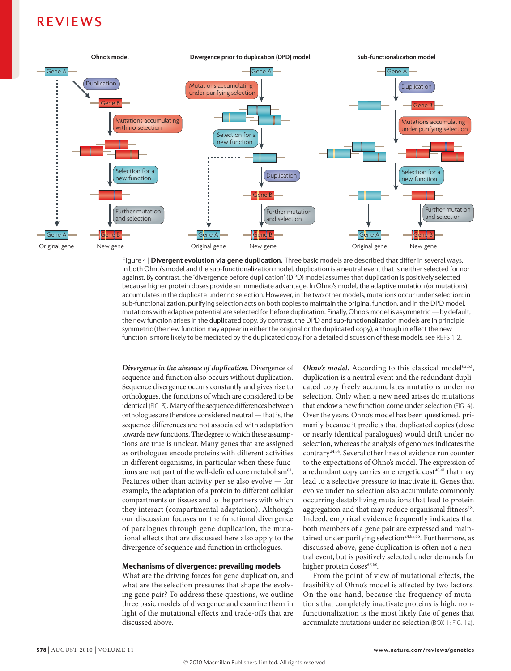

Figure 4 | **Divergent evolution via gene duplication.** Three basic models are described that differ in several ways. In both Ohno's model and the sub-functionalization model, duplication is a neutral event that is neither selected for nor against. By contrast, the 'divergence before duplication' (DPD) model assumes that duplication is positively selected because higher protein doses provide an immediate advantage. In Ohno's model, the adaptive mutation (or mutations) accumulates in the duplicate under no selection. However, in the two other models, mutations occur under selection: in sub-functionalization, purifying selection acts on both copies to maintain the original function, and in the DPD model, mutations with adaptive potential are selected for before duplication. Finally, Ohno's model is asymmetric — by default, the new function arises in the duplicated copy. By contrast, the DPD and sub-functionalization models are in principle symmetric (the new function may appear in either the original or the duplicated copy), although in effect the new function is more likely to be mediated by the duplicated copy. For a detailed discussion of these models, see ReFS 1,2.

*Divergence in the absence of duplication.* Divergence of sequence and function also occurs without duplication. Sequence divergence occurs constantly and gives rise to orthologues, the functions of which are considered to be identical (FIG. 3). Many of the sequence differences between orthologues are therefore considered neutral — that is*,* the sequence differences are not associated with adaptation towards new functions. The degree to which these assumptions are true is unclear. Many genes that are assigned as orthologues encode proteins with different activities in different organisms, in particular when these functions are not part of the well-defined core metabolism<sup>61</sup>. Features other than activity per se also evolve — for example, the adaptation of a protein to different cellular compartments or tissues and to the partners with which they interact (compartmental adaptation). Although our discussion focuses on the functional divergence of paralogues through gene duplication, the mutational effects that are discussed here also apply to the divergence of sequence and function in orthologues.

# Mechanisms of divergence: prevailing models

What are the driving forces for gene duplication, and what are the selection pressures that shape the evolving gene pair? To address these questions, we outline three basic models of divergence and examine them in light of the mutational effects and trade-offs that are discussed above.

Ohno's model. According to this classical model<sup>62,63</sup>, duplication is a neutral event and the redundant duplicated copy freely accumulates mutations under no selection. Only when a new need arises do mutations that endow a new function come under selection (FIG. 4). Over the years, Ohno's model has been questioned, primarily because it predicts that duplicated copies (close or nearly identical paralogues) would drift under no selection, whereas the analysis of genomes indicates the contrary24,64. Several other lines of evidence run counter to the expectations of Ohno's model. The expression of a redundant copy carries an energetic cost $40,41$  that may lead to a selective pressure to inactivate it. Genes that evolve under no selection also accumulate commonly occurring destabilizing mutations that lead to protein aggregation and that may reduce organismal fitness<sup>18</sup>. Indeed, empirical evidence frequently indicates that both members of a gene pair are expressed and maintained under purifying selection<sup>24,65,66</sup>. Furthermore, as discussed above, gene duplication is often not a neutral event, but is positively selected under demands for higher protein doses<sup>67,68</sup>.

From the point of view of mutational effects, the feasibility of Ohno's model is affected by two factors. On the one hand, because the frequency of mutations that completely inactivate proteins is high, nonfunctionalization is the most likely fate of genes that accumulate mutations under no selection (BOX 1; FIG. 1a).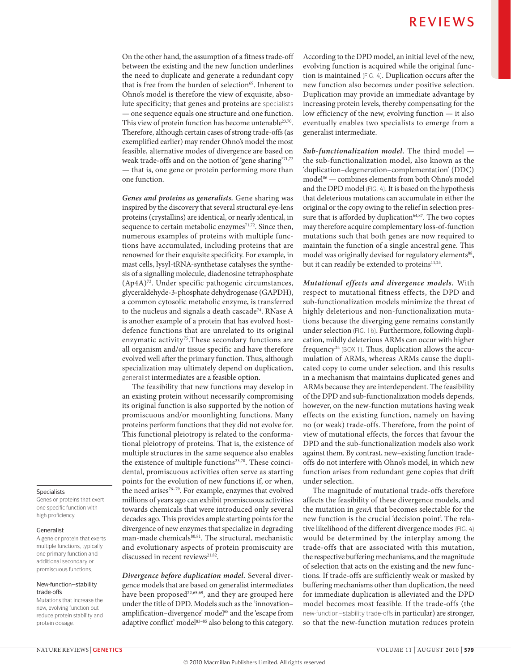On the other hand, the assumption of a fitness trade-off between the existing and the new function underlines the need to duplicate and generate a redundant copy that is free from the burden of selection<sup>69</sup>. Inherent to Ohno's model is therefore the view of exquisite, absolute specificity; that genes and proteins are specialists — one sequence equals one structure and one function. This view of protein function has become untenable<sup>23,70</sup>. Therefore, although certain cases of strong trade-offs (as exemplified earlier) may render Ohno's model the most feasible, alternative modes of divergence are based on weak trade-offs and on the notion of 'gene sharing'71,72 — that is, one gene or protein performing more than one function.

Genes and proteins as generalists. Gene sharing was inspired by the discovery that several structural eye-lens proteins (crystallins) are identical, or nearly identical, in sequence to certain metabolic enzymes $71,72$ . Since then, numerous examples of proteins with multiple functions have accumulated, including proteins that are renowned for their exquisite specificity. For example, in mast cells, lysyl-tRnA-synthetase catalyses the synthesis of a signalling molecule, diadenosine tetraphosphate (Ap4A)<sup>73</sup>. Under specific pathogenic circumstances, glyceraldehyde-3-phosphate dehydrogenase (gAPDH), a common cytosolic metabolic enzyme, is transferred to the nucleus and signals a death cascade<sup>74</sup>. RNase A is another example of a protein that has evolved hostdefence functions that are unrelated to its original enzymatic activity<sup>75</sup>. These secondary functions are all organism and/or tissue specific and have therefore evolved well after the primary function. Thus, although specialization may ultimately depend on duplication, generalist intermediates are a feasible option.

The feasibility that new functions may develop in an existing protein without necessarily compromising its original function is also supported by the notion of promiscuous and/or moonlighting functions. Many proteins perform functions that they did not evolve for. This functional pleiotropy is related to the conformational pleiotropy of proteins. That is, the existence of multiple structures in the same sequence also enables the existence of multiple functions<sup>23,70</sup>. These coincidental, promiscuous activities often serve as starting points for the evolution of new functions if, or when, the need arises<sup>76-79</sup>. For example, enzymes that evolved millions of years ago can exhibit promiscuous activities towards chemicals that were introduced only several decades ago. This provides ample starting points for the divergence of new enzymes that specialize in degrading man-made chemicals<sup>80,81</sup>. The structural, mechanistic and evolutionary aspects of protein promiscuity are discussed in recent reviews<sup>21,82</sup>.

*Divergence before duplication model.* Several divergence models that are based on generalist intermediates have been proposed<sup>22,65,69</sup>, and they are grouped here under the title of DPD. Models such as the 'innovation– amplification-divergence' model<sup>68</sup> and the 'escape from adaptive conflict' model<sup>83-85</sup> also belong to this category. According to the DPD model, an initial level of the new, evolving function is acquired while the original function is maintained (FIG. 4). Duplication occurs after the new function also becomes under positive selection. Duplication may provide an immediate advantage by increasing protein levels, thereby compensating for the low efficiency of the new, evolving function — it also eventually enables two specialists to emerge from a generalist intermediate.

*Sub-functionalization model.* The third model the sub-functionalization model, also known as the 'duplication–degeneration–complementation' (DDC) model86 — combines elements from both Ohno's model and the DPD model (FIG. 4). It is based on the hypothesis that deleterious mutations can accumulate in either the original or the copy owing to the relief in selection pressure that is afforded by duplication<sup>64,87</sup>. The two copies may therefore acquire complementary loss-of-function mutations such that both genes are now required to maintain the function of a single ancestral gene. This model was originally devised for regulatory elements<sup>88</sup>, but it can readily be extended to proteins<sup>11,24</sup>.

*Mutational effects and divergence models.* With respect to mutational fitness effects, the DPD and sub-functionalization models minimize the threat of highly deleterious and non-functionalization mutations because the diverging gene remains constantly under selection (FIG. 1b). Furthermore, following duplication, mildly deleterious ARMs can occur with higher frequency24 (BOX 1). Thus, duplication allows the accumulation of ARMs, whereas ARMs cause the duplicated copy to come under selection, and this results in a mechanism that maintains duplicated genes and ARMs because they are interdependent. The feasibility of the DPD and sub-functionalization models depends, however, on the new-function mutations having weak effects on the existing function, namely on having no (or weak) trade-offs. Therefore, from the point of view of mutational effects, the forces that favour the DPD and the sub-functionalization models also work against them. By contrast, new–existing function tradeoffs do not interfere with Ohno's model, in which new function arises from redundant gene copies that drift under selection.

The magnitude of mutational trade-offs therefore affects the feasibility of these divergence models, and the mutation in *genA* that becomes selectable for the new function is the crucial 'decision point'. The relative likelihood of the different divergence modes (FIG. 4) would be determined by the interplay among the trade-offs that are associated with this mutation, the respective buffering mechanisms, and the magnitude of selection that acts on the existing and the new functions. If trade-offs are sufficiently weak or masked by buffering mechanisms other than duplication, the need for immediate duplication is alleviated and the DPD model becomes most feasible. If the trade-offs (the new-function–stability trade-offs in particular) are stronger, so that the new-function mutation reduces protein

### Specialists

Genes or proteins that exert one specific function with high proficiency.

#### Generalist

A gene or protein that exerts multiple functions, typically one primary function and additional secondary or promiscuous functions.

### New-function–stability trade-offs

Mutations that increase the new, evolving function but reduce protein stability and protein dosage.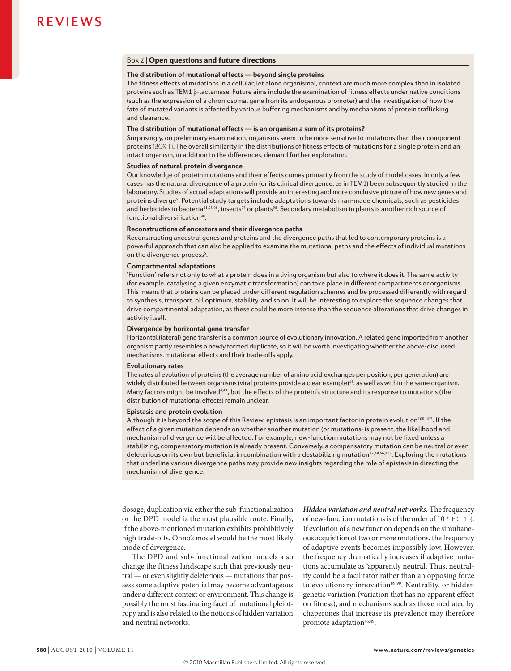# Box 2 | Open questions and future directions

### **the distribution of mutational effects — beyond single proteins**

The fitness effects of mutations in a cellular, let alone organismal, context are much more complex than in isolated proteins such as TEM1 β-lactamase. Future aims include the examination of fitness effects under native conditions (such as the expression of a chromosomal gene from its endogenous promoter) and the investigation of how the fate of mutated variants is affected by various buffering mechanisms and by mechanisms of protein trafficking and clearance.

### **the distribution of mutational effects — is an organism a sum of its proteins?**

Surprisingly, on preliminary examination, organisms seem to be more sensitive to mutations than their component proteins (BOX 1). The overall similarity in the distributions of fitness effects of mutations for a single protein and an intact organism, in addition to the differences, demand further exploration.

### **studies of natural protein divergence**

Our knowledge of protein mutations and their effects comes primarily from the study of model cases. In only a few cases has the natural divergence of a protein (or its clinical divergence, as in TEM1) been subsequently studied in the laboratory. Studies of actual adaptations will provide an interesting and more conclusive picture of how new genes and proteins diverge<sup>5</sup>. Potential study targets include adaptations towards man-made chemicals, such as pesticides and herbicides in bacteria<sup>81,95,96</sup>, insects<sup>97</sup> or plants<sup>98</sup>. Secondary metabolism in plants is another rich source of functional diversification<sup>99</sup>.

# **Reconstructions of ancestors and their divergence paths**

Reconstructing ancestral genes and proteins and the divergence paths that led to contemporary proteins is a powerful approach that can also be applied to examine the mutational paths and the effects of individual mutations on the divergence process<sup>5</sup>.

# **compartmental adaptations**

'Function' refers not only to what a protein does in a living organism but also to where it does it. The same activity (for example, catalysing a given enzymatic transformation) can take place in different compartments or organisms. This means that proteins can be placed under different regulation schemes and be processed differently with regard to synthesis, transport, pH optimum, stability, and so on. It will be interesting to explore the sequence changes that drive compartmental adaptation, as these could be more intense than the sequence alterations that drive changes in activity itself.

## **Divergence by horizontal gene transfer**

Horizontal (lateral) gene transfer is a common source of evolutionary innovation. A related gene imported from another organism partly resembles a newly formed duplicate, so it will be worth investigating whether the above-discussed mechanisms, mutational effects and their trade-offs apply.

### **evolutionary rates**

The rates of evolution of proteins (the average number of amino acid exchanges per position, per generation) are widely distributed between organisms (viral proteins provide a clear example)<sup>14</sup>, as well as within the same organism. Many factors might be involved<sup>4,44</sup>, but the effects of the protein's structure and its response to mutations (the distribution of mutational effects) remain unclear.

### **epistasis and protein evolution**

Although it is beyond the scope of this Review, epistasis is an important factor in protein evolution $100-102$ . If the effect of a given mutation depends on whether another mutation (or mutations) is present, the likelihood and mechanism of divergence will be affected. For example, new-function mutations may not be fixed unless a stabilizing, compensatory mutation is already present. Conversely, a compensatory mutation can be neutral or even deleterious on its own but beneficial in combination with a destabilizing mutation<sup>17,49,56,103</sup>. Exploring the mutations that underline various divergence paths may provide new insights regarding the role of epistasis in directing the mechanism of divergence.

dosage, duplication via either the sub-functionalization or the DPD model is the most plausible route. Finally, if the above-mentioned mutation exhibits prohibitively high trade-offs, Ohno's model would be the most likely mode of divergence.

The DPD and sub-functionalization models also change the fitness landscape such that previously neutral — or even slightly deleterious — mutations that possess some adaptive potential may become advantageous under a different context or environment. This change is possibly the most fascinating facet of mutational pleiotropy and is also related to the notions of hidden variation and neutral networks.

*Hidden variation and neutral networks.* The frequency of new-function mutations is of the order of 10–3 (FIG. 1b). If evolution of a new function depends on the simultaneous acquisition of two or more mutations, the frequency of adaptive events becomes impossibly low. However, the frequency dramatically increases if adaptive mutations accumulate as 'apparently neutral'. Thus, neutrality could be a facilitator rather than an opposing force to evolutionary innovation<sup>89,90</sup>. Neutrality, or hidden genetic variation (variation that has no apparent effect on fitness), and mechanisms such as those mediated by chaperones that increase its prevalence may therefore promote adaptation<sup>46,49</sup>.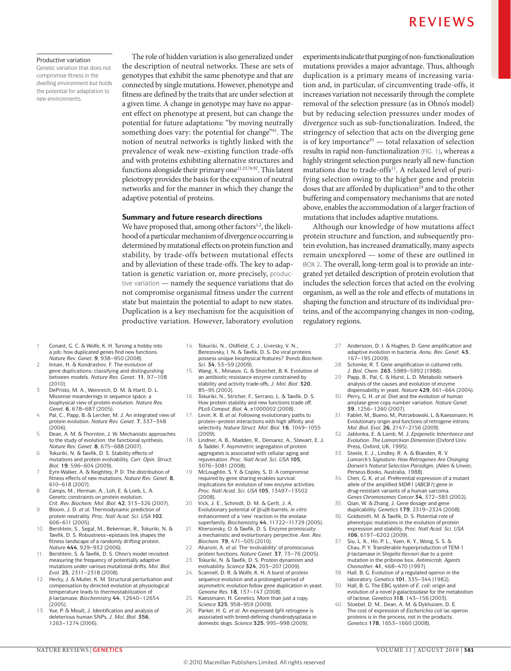### Productive variation

Genetic variation that does not compromise fitness in the dwelling environment but holds the potential for adaptation to new environments.

The role of hidden variation is also generalized under the description of neutral networks. These are sets of genotypes that exhibit the same phenotype and that are connected by single mutations. However, phenotype and fitness are defined by the traits that are under selection at a given time. A change in genotype may have no apparent effect on phenotype at present, but can change the potential for future adaptations: "by moving neutrally something does vary: the potential for change"<sup>91</sup>. The notion of neutral networks is tightly linked with the prevalence of weak new–existing function trade-offs and with proteins exhibiting alternative structures and functions alongside their primary one<sup>21,23,70,92</sup>. This latent pleiotropy provides the basis for the expansion of neutral networks and for the manner in which they change the adaptive potential of proteins.

### Summary and future research directions

We have proposed that, among other factors $1,2$ , the likelihood of a particular mechanism of divergence occurring is determined by mutational effects on protein function and stability, by trade-offs between mutational effects and by alleviation of these trade-offs. The key to adaptation is genetic variation or, more precisely, productive variation — namely the sequence variations that do not compromise organismal fitness under the current state but maintain the potential to adapt to new states. Duplication is a key mechanism for the acquisition of productive variation. However, laboratory evolution experiments indicate that purging of non-functionalization mutations provides a major advantage. Thus, although duplication is a primary means of increasing variation and, in particular, of circumventing trade-offs, it increases variation not necessarily through the complete removal of the selection pressure (as in Ohno's model) but by reducing selection pressures under modes of divergence such as sub-functionalization. Indeed, the stringency of selection that acts on the diverging gene is of key importance<sup>93</sup> — total relaxation of selection results in rapid non-functionalization (FIG. 1), whereas a highly stringent selection purges nearly all new-function mutations due to trade-offs<sup>11</sup>. A relaxed level of purifying selection owing to the higher gene and protein doses that are afforded by duplication<sup>24</sup> and to the other buffering and compensatory mechanisms that are noted above, enables the accommodation of a larger fraction of mutations that includes adaptive mutations.

Although our knowledge of how mutations affect protein structure and function, and subsequently protein evolution, has increased dramatically, many aspects remain unexplored — some of these are outlined in BOX 2. The overall, long-term goal is to provide an integrated yet detailed description of protein evolution that includes the selection forces that acted on the evolving organism, as well as the role and effects of mutations in shaping the function and structure of its individual proteins, and of the accompanying changes in non-coding, regulatory regions.

- 1. Conant, G. C. & Wolfe, K. H. Turning a hobby into a job: how duplicated genes find new functions. *Nature Rev. Genet.* **9**, 938–950 (2008).
- Innan, H. & Kondrashov, F. The evolution of gene duplications: classifying and distinguishing between models. *Nature Rev. Genet.* **11**, 97–108 (2010).
- 3. DePristo, M. A., Weinreich, D. M. & Hartl, D. L. Missense meanderings in sequence space: a biophysical view of protein evolution. *Nature Rev. Genet.* **6**, 678–687 (2005).
- 4. Pal, C., Papp, B. & Lercher, M. J. An integrated view of protein evolution. *Nature Rev. Genet.* **7**, 337–348 (2006).
- 5. Dean, A. M. & Thornton, J. W. Mechanistic approaches to the study of evolution: the functional synthesis. *Nature Rev. Genet.* **8**, 675–688 (2007).
- 6. Tokuriki, N. & Tawfik, D. S. Stability effects of mutations and protein evolvability. *Curr. Opin. Struct. Biol.* **19**, 596–604 (2009).
- 7. Eyre-Walker, A. & Keightley, P. D. The distribution of fitness effects of new mutations. *Nature Rev. Genet.* **8**, 610–618 (2007).
- 8. Camps, M., Herman, A., Loh, E. & Loeb, L. A. Genetic constraints on protein evolution. *Crit. Rev. Biochem. Mol. Biol.* **42**, 313–326 (2007).
- 9. Bloom, J. D. *et al.* Thermodynamic prediction of protein neutrality. *Proc. Natl Acad. Sci. USA* **102**, 606–611 (2005).
- 10. Bershtein, S., Segal, M., Bekerman, R., Tokuriki, N. & Tawfik, D. S. Robustness–epistasis link shapes the fitness landscape of a randomly drifting protein. *Nature* **444**, 929–932 (2006).
- 11. Bershtein, S. & Tawfik, D. S. Ohno's model revisited: measuring the frequency of potentially adaptive mutations under various mutational drifts. *Mol. Biol. Evol.* **25**, 2311–2318 (2008).
- 12. Hecky, J. & Muller, K. M. Structural perturbation and compensation by directed evolution at physiological temperature leads to thermostabilization of β-lactamase. *Biochemistry* **44**, 12640–12654  $(2005)$
- Yue, P. & Moult, J. Identification and analysis of deleterious human SNPs. *J. Mol. Biol.* **356**, 1263–1274 (2006).
- 14. Tokuriki, N., Oldfield, C. J., Uversky, V. N., Berezovsky, I. N. & Tawfik, D. S. Do viral proteins possess unique biophysical features? *Trends Biochem. Sci.* **34**, 53–59 (2009).
- 15. Wang, X., Minasov, G. & Shoichet, B. K. Evolution of an antibiotic resistance enzyme constrained by stability and activity trade-offs. *J. Mol. Biol.* **320**, 85–95 (2002).
- 16. Tokuriki, N., Stricher, F., Serrano, L. & Tawfik, D. S. How protein stability and new functions trade off. *PLoS Comput. Biol.* **4**, e1000002 (2008).
- 17. Levin, K. B. *et al.* Following evolutionary paths to protein–protein interactions with high affinity and selectivity. *Nature Struct. Mol. Biol.* **16**, 1049–1055 (2009).
- 18. Lindner, A. B., Madden, R., Demarez, A., Stewart, E. J. & Taddei, F. Asymmetric segregation of protein aggregates is associated with cellular aging and rejuvenation. *Proc. Natl Acad. Sci. USA* **105**, 3076–3081 (2008).
- 19. McLoughlin, S. Y. & Copley, S. D. A compromise required by gene sharing enables survival: implications for evolution of new enzyme activities. *Proc. Natl Acad. Sci. USA* **105**, 13497–13502 (2008).
- 20. Vick, J. E., Schmidt, D. M. & Gerlt, J. A. Evolutionary potential of (β/α)8-barrels: *in vitro* enhancement of a 'new' reaction in the enolase superfamily. *Biochemistry* **44**, 11722–11729 (2005).
- 21. Khersonsky, O. & Tawfik, D. S. Enzyme promiscuity: a mechanistic and evolurtionary perpective. *Ann. Rev. Biochem.* **79**, 471–505 (2010).
- 22. Aharoni, A. *et al.* The 'evolvability' of promiscuous protein functions. *Nature Genet.* **37**, 73–76 (2005).
- 23. Tokuriki, N. & Tawfik, D. S. Protein dynamism and evolvability. *Science* **324**, 203–207 (2009).
- 24. Scannell, D. R. & Wolfe, K. H. A burst of protein sequence evolution and a prolonged period of asymmetric evolution follow gene duplication in yeast. *Genome Res.* **18**, 137–147 (2008).
- 25. Kaessmann, H. Genetics. More than just a copy. *Science* **325**, 958–959 (2009). Parker, H. G. et al. An expressed fgf4 retrogene is
- associated with breed-defining chondrodysplasia in domestic dogs. *Science* **325**, 995–998 (2009).
- 27. Andersson, D. I. & Hughes, D. Gene amplification and adaptive evolution in bacteria. *Annu. Rev. Genet.* **43**, 167–195 (2009).
- 28. Schimke, R. T. Gene amplification in cultured cells. *J. Biol. Chem.* **263**, 5989–5992 (1988).
- 29. Papp, B., Pal, C. & Hurst, L. D. Metabolic network analysis of the causes and evolution of enzyme dispensability in yeast. *Nature* **429**, 661–664 (2004).
- 30. Perry, G. H. *et al.* Diet and the evolution of human amylase gene copy number variation. *Nature Genet.* **39**, 1256–1260 (2007).
- 31. Fablet, M., Bueno, M., Potrzebowski, L. & Kaessmann, H. Evolutionary origin and functions of retrogene introns. *Mol. Biol. Evol.* **26**, 2147–2156 (2009).
- 32. Jablonka, E. & Lamb, M. J. *Epigenetic Inheritance and Evolution: The Lamarckian Dimension* (Oxford Univ. Press, Oxford, UK, 1995).
- 33. Steele, E. J., Lindley, R. A. & Blanden, R. V. *Lamarck's Signature: How Retrogenes Are Changing Darwin's Natural Selection Paradigm*, (Allen & Unwin; Perseus Books, Australia, 1988).
- 34. Chen, G. K. *et al.* Preferential expression of a mutant allele of the amplified *MDR1* (*ABCB1*) gene in drug-resistant variants of a human sarcoma. *Genes Chromosomes Cancer* **34**, 372–383 (2002).
- 35. Qian, W. & Zhang, J. Gene dosage and gene duplicability. *Genetics* **179**, 2319–2324 (2008).
- 36. Goldsmith, M. & Tawfik, D. S. Potential role of phenotypic mutations in the evolution of protein expression and stability. *Proc. Natl Acad. Sci. USA* **106**, 6197–6202 (2009).
- 37. Siu, L. K., Ho, P. L., Yuen, K. Y., Wong, S. S. & Chau, P. Y. Transferable hyperproduction of TEM-1 β-lactamase in *Shigella flexneri* due to a point mutation in the pribnow box. *Antimicrob. Agents Chemother.* **41**, 468–470 (1997).
- 38. Hall, B. G. Evolution of a regulated operon in the laboratory. *Genetics* **101**, 335–344 (1982).
- 39. Hall, B. G. The EBG system of *E. coli*: origin and evolution of a novel β-galactosidase for the metabolism of lactose. *Genetica* **118**, 143–156 (2003).
- 40. Stoebel, D. M., Dean, A. M. & Dykhuizen, D. E. The cost of expression of *Escherichia coli* lac operon proteins is in the process, not in the products. *Genetics* **178**, 1653–1660 (2008).